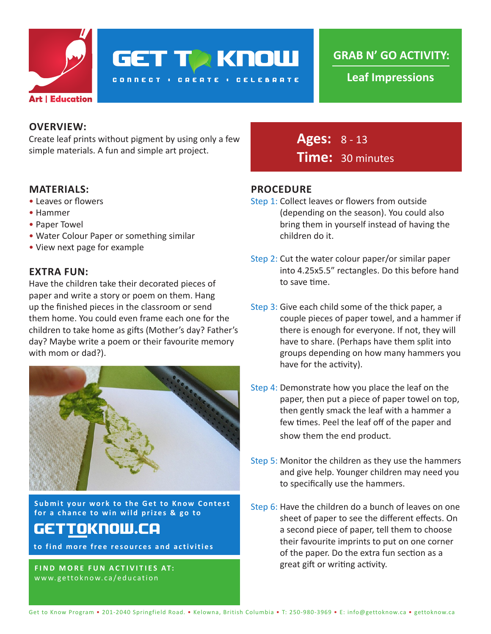

**GET TO KNOW** 

**CONNECT : CREATE : CELEBRATE** 

**GRAB N' GO ACTIVITY:**

**Leaf Impressions**

## **OVERVIEW:**

Create leaf prints without pigment by using only a few simple materials. A fun and simple art project.

#### **MATERIALS:**

- Leaves or flowers
- Hammer
- Paper Towel
- Water Colour Paper or something similar
- View next page for example

## **EXTRA FUN:**

Have the children take their decorated pieces of paper and write a story or poem on them. Hang up the finished pieces in the classroom or send them home. You could even frame each one for the children to take home as gifts (Mother's day? Father's day? Maybe write a poem or their favourite memory with mom or dad?).



**Submit your work to the Get to Know Contest for a chance to win wild prizes & go to**

# gettoknow.ca

**to find more free resources and activities**

**FIND MORE FUN ACTIVITIES AT:** www.gettoknow.ca/education

**Ages:** 8 - 13 **Time:** 30 minutes

## **PROCEDURE**

- Step 1: Collect leaves or flowers from outside (depending on the season). You could also bring them in yourself instead of having the children do it.
- Step 2: Cut the water colour paper/or similar paper into 4.25x5.5" rectangles. Do this before hand to save time.
- Step 3: Give each child some of the thick paper, a couple pieces of paper towel, and a hammer if there is enough for everyone. If not, they will have to share. (Perhaps have them split into groups depending on how many hammers you have for the activity).
- Step 4: Demonstrate how you place the leaf on the paper, then put a piece of paper towel on top, then gently smack the leaf with a hammer a few times. Peel the leaf off of the paper and show them the end product.
- Step 5: Monitor the children as they use the hammers and give help. Younger children may need you to specifically use the hammers.
- Step 6: Have the children do a bunch of leaves on one sheet of paper to see the different effects. On a second piece of paper, tell them to choose their favourite imprints to put on one corner of the paper. Do the extra fun section as a great gift or writing activity.